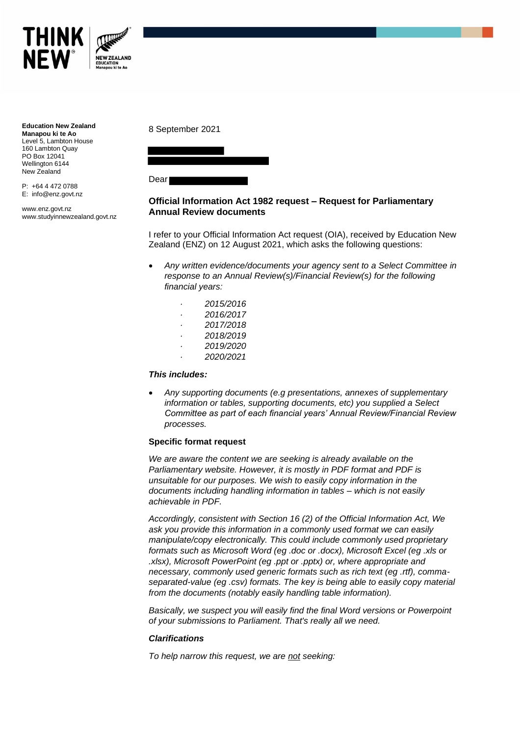

**Education New Zealand Manapou ki te Ao** Level 5, Lambton House 160 Lambton Quay PO Box 12041 Wellington 6144 New Zealand

P: +64 4 472 0788 E: info@enz.govt.nz

www.enz.govt.nz www.studyinnewzealand.govt.nz 8 September 2021



Dear

# **Official Information Act 1982 request – Request for Parliamentary Annual Review documents**

I refer to your Official Information Act request (OIA), received by Education New Zealand (ENZ) on 12 August 2021, which asks the following questions:

- *Any written evidence/documents your agency sent to a Select Committee in response to an Annual Review(s)/Financial Review(s) for the following financial years:*
	- *· 2015/2016 · 2016/2017*
	- *· 2017/2018*
	- *· 2018/2019*
	- *· 2019/2020 · 2020/2021*
- *This includes:*
- *Any supporting documents (e.g presentations, annexes of supplementary information or tables, supporting documents, etc) you supplied a Select Committee as part of each financial years' Annual Review/Financial Review processes.*

## **Specific format request**

*We are aware the content we are seeking is already available on the Parliamentary website. However, it is mostly in PDF format and PDF is unsuitable for our purposes. We wish to easily copy information in the documents including handling information in tables – which is not easily achievable in PDF.* 

*Accordingly, consistent with Section 16 (2) of the Official Information Act, We ask you provide this information in a commonly used format we can easily manipulate/copy electronically. This could include commonly used proprietary formats such as Microsoft Word (eg .doc or .docx), Microsoft Excel (eg .xls or .xlsx), Microsoft PowerPoint (eg .ppt or .pptx) or, where appropriate and necessary, commonly used generic formats such as rich text (eg .rtf), commaseparated-value (eg .csv) formats. The key is being able to easily copy material from the documents (notably easily handling table information).*

*Basically, we suspect you will easily find the final Word versions or Powerpoint of your submissions to Parliament. That's really all we need.*

## *Clarifications*

*To help narrow this request, we are not seeking:*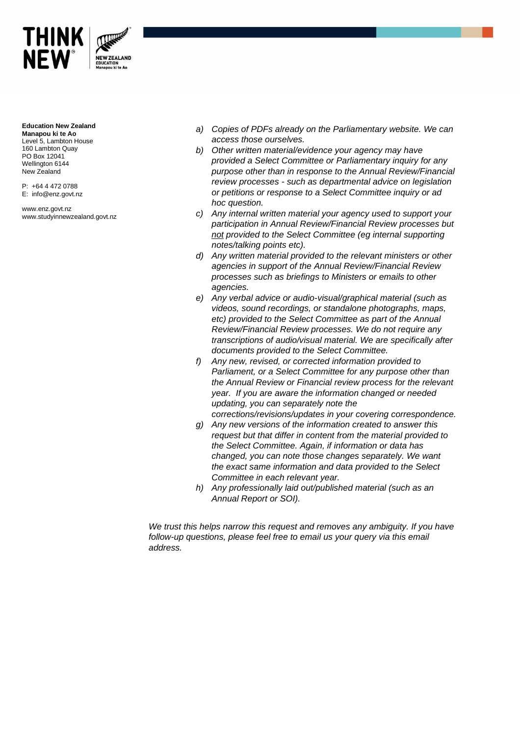

#### **Education New Zealand**

**Manapou ki te Ao** Level 5, Lambton House 160 Lambton Quay PO Box 12041 Wellington 6144 New Zealand

P: +64 4 472 0788 E: info@enz.govt.nz

www.enz.govt.nz www.studyinnewzealand.govt.nz

- *a) Copies of PDFs already on the Parliamentary website. We can access those ourselves.*
- *b) Other written material/evidence your agency may have provided a Select Committee or Parliamentary inquiry for any purpose other than in response to the Annual Review/Financial review processes - such as departmental advice on legislation or petitions or response to a Select Committee inquiry or ad hoc question.*
- *c) Any internal written material your agency used to support your participation in Annual Review/Financial Review processes but not provided to the Select Committee (eg internal supporting notes/talking points etc).*
- *d) Any written material provided to the relevant ministers or other agencies in support of the Annual Review/Financial Review processes such as briefings to Ministers or emails to other agencies.*
- *e) Any verbal advice or audio-visual/graphical material (such as videos, sound recordings, or standalone photographs, maps, etc) provided to the Select Committee as part of the Annual Review/Financial Review processes. We do not require any transcriptions of audio/visual material. We are specifically after documents provided to the Select Committee.*
- *f) Any new, revised, or corrected information provided to Parliament, or a Select Committee for any purpose other than the Annual Review or Financial review process for the relevant year. If you are aware the information changed or needed updating, you can separately note the*
- *corrections/revisions/updates in your covering correspondence. g) Any new versions of the information created to answer this*
- *request but that differ in content from the material provided to the Select Committee. Again, if information or data has changed, you can note those changes separately. We want the exact same information and data provided to the Select Committee in each relevant year.*
- *h) Any professionally laid out/published material (such as an Annual Report or SOI).*

*We trust this helps narrow this request and removes any ambiguity. If you have follow-up questions, please feel free to email us your query via this email address.*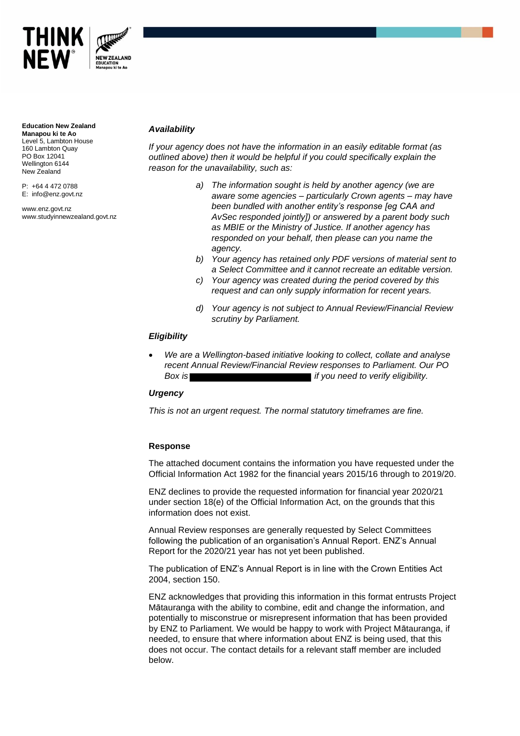

**Education New Zealand Manapou ki te Ao** Level 5, Lambton House 160 Lambton Quay PO Box 12041 Wellington 6144 New Zealand

P: +64 4 472 0788 E: info@enz.govt.nz

www.enz.govt.nz www.studyinnewzealand.govt.nz

# *Availability*

*If your agency does not have the information in an easily editable format (as outlined above) then it would be helpful if you could specifically explain the reason for the unavailability, such as:*

- *a) The information sought is held by another agency (we are aware some agencies – particularly Crown agents – may have been bundled with another entity's response [eg CAA and AvSec responded jointly]) or answered by a parent body such as MBIE or the Ministry of Justice. If another agency has responded on your behalf, then please can you name the agency.*
- *b) Your agency has retained only PDF versions of material sent to a Select Committee and it cannot recreate an editable version.*
- *c) Your agency was created during the period covered by this request and can only supply information for recent years.*
- *d) Your agency is not subject to Annual Review/Financial Review scrutiny by Parliament.*

#### *Eligibility*

• *We are a Wellington-based initiative looking to collect, collate and analyse recent Annual Review/Financial Review responses to Parliament. Our PO*  **Box is** *Box is Box is Box is Box is Box is Box is Box is Box is Box is Box is Box is Box is Box is Box is Box is Box is Box is Box is Box is Bo* 

#### *Urgency*

*This is not an urgent request. The normal statutory timeframes are fine.*

#### **Response**

The attached document contains the information you have requested under the Official Information Act 1982 for the financial years 2015/16 through to 2019/20.

ENZ declines to provide the requested information for financial year 2020/21 under section 18(e) of the Official Information Act, on the grounds that this information does not exist.

Annual Review responses are generally requested by Select Committees following the publication of an organisation's Annual Report. ENZ's Annual Report for the 2020/21 year has not yet been published.

The publication of ENZ's Annual Report is in line with the Crown Entities Act 2004, section 150.

ENZ acknowledges that providing this information in this format entrusts Project Mātauranga with the ability to combine, edit and change the information, and potentially to misconstrue or misrepresent information that has been provided by ENZ to Parliament. We would be happy to work with Project Mātauranga, if needed, to ensure that where information about ENZ is being used, that this does not occur. The contact details for a relevant staff member are included below.